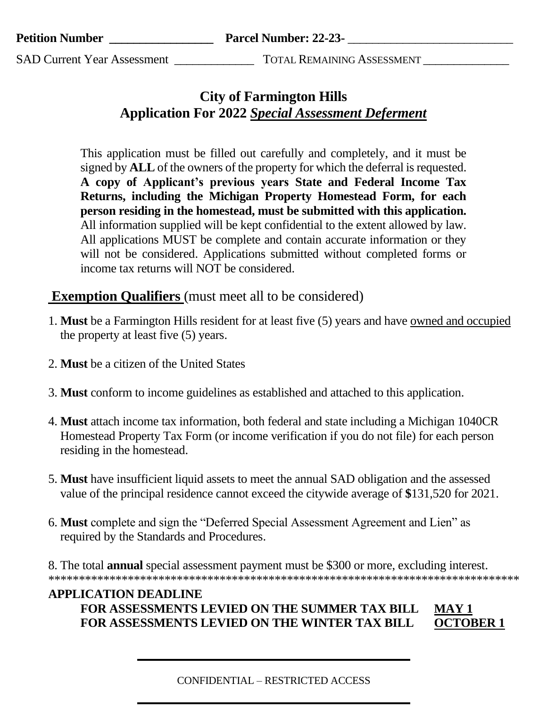**Parcel Number: 22-23-**

**SAD Current Year Assessment** 

**TOTAL REMAINING ASSESSMENT** 

# **City of Farmington Hills Application For 2022 Special Assessment Deferment**

This application must be filled out carefully and completely, and it must be signed by **ALL** of the owners of the property for which the deferral is requested. A copy of Applicant's previous years State and Federal Income Tax Returns, including the Michigan Property Homestead Form, for each person residing in the homestead, must be submitted with this application. All information supplied will be kept confidential to the extent allowed by law. All applications MUST be complete and contain accurate information or they will not be considered. Applications submitted without completed forms or income tax returns will NOT be considered.

# **Exemption Qualifiers** (must meet all to be considered)

- 1. Must be a Farmington Hills resident for at least five (5) years and have owned and occupied the property at least five (5) years.
- 2. Must be a citizen of the United States
- 3. Must conform to income guidelines as established and attached to this application.
- 4. Must attach income tax information, both federal and state including a Michigan 1040CR Homestead Property Tax Form (or income verification if you do not file) for each person residing in the homestead.
- 5. Must have insufficient liquid assets to meet the annual SAD obligation and the assessed value of the principal residence cannot exceed the citywide average of \$131,520 for 2021.
- 6. Must complete and sign the "Deferred Special Assessment Agreement and Lien" as required by the Standards and Procedures.

8. The total **annual** special assessment payment must be \$300 or more, excluding interest. 

#### **APPLICATION DEADLINE** FOR ASSESSMENTS LEVIED ON THE SUMMER TAX BILL **MAY 1 OCTOBER 1** FOR ASSESSMENTS LEVIED ON THE WINTER TAX BILL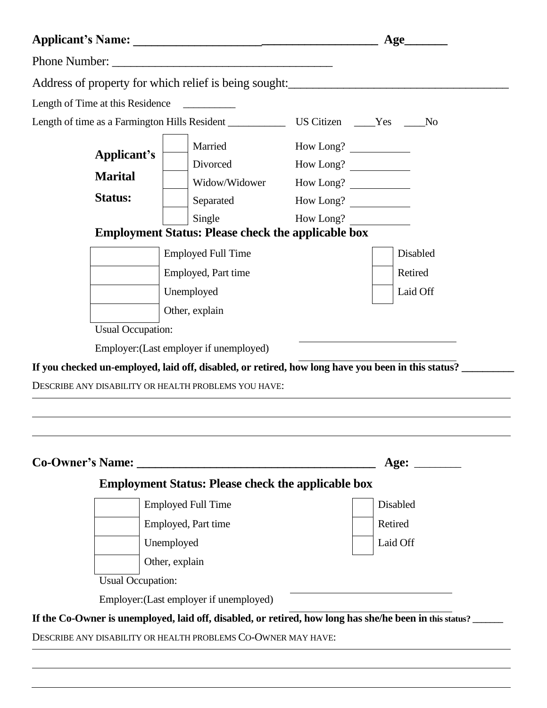|                          |                                                                                                                                                    | Age       |             |
|--------------------------|----------------------------------------------------------------------------------------------------------------------------------------------------|-----------|-------------|
|                          |                                                                                                                                                    |           |             |
|                          | Address of property for which relief is being sought:<br><u>Address of property for which relief is being sought:</u>                              |           |             |
|                          | Length of Time at this Residence                                                                                                                   |           |             |
|                          |                                                                                                                                                    |           |             |
| Applicant's              | Married                                                                                                                                            | How Long? |             |
|                          | Divorced                                                                                                                                           | How Long? |             |
| <b>Marital</b>           |                                                                                                                                                    |           |             |
| <b>Status:</b>           | Separated                                                                                                                                          | How Long? |             |
|                          | Single                                                                                                                                             | How Long? |             |
|                          | <b>Employment Status: Please check the applicable box</b>                                                                                          |           |             |
|                          | <b>Employed Full Time</b>                                                                                                                          |           | Disabled    |
|                          | Employed, Part time                                                                                                                                |           | Retired     |
|                          | Unemployed                                                                                                                                         |           | Laid Off    |
|                          | Other, explain                                                                                                                                     |           |             |
| <b>Usual Occupation:</b> |                                                                                                                                                    |           |             |
|                          | Employer: (Last employer if unemployed)                                                                                                            |           |             |
|                          | If you checked un-employed, laid off, disabled, or retired, how long have you been in this status?                                                 |           |             |
|                          | DESCRIBE ANY DISABILITY OR HEALTH PROBLEMS YOU HAVE:                                                                                               |           |             |
|                          |                                                                                                                                                    |           |             |
|                          |                                                                                                                                                    |           |             |
|                          |                                                                                                                                                    |           |             |
|                          |                                                                                                                                                    |           |             |
|                          |                                                                                                                                                    |           | Age: $\_\_$ |
|                          | <b>Employment Status: Please check the applicable box</b>                                                                                          |           |             |
|                          | <b>Employed Full Time</b>                                                                                                                          |           | Disabled    |
|                          | Employed, Part time                                                                                                                                |           | Retired     |
|                          |                                                                                                                                                    |           | Laid Off    |
|                          | Unemployed                                                                                                                                         |           |             |
|                          | Other, explain                                                                                                                                     |           |             |
| <b>Usual Occupation:</b> |                                                                                                                                                    |           |             |
|                          | Employer: (Last employer if unemployed)<br>If the Co-Owner is unemployed, laid off, disabled, or retired, how long has she/he been in this status? |           |             |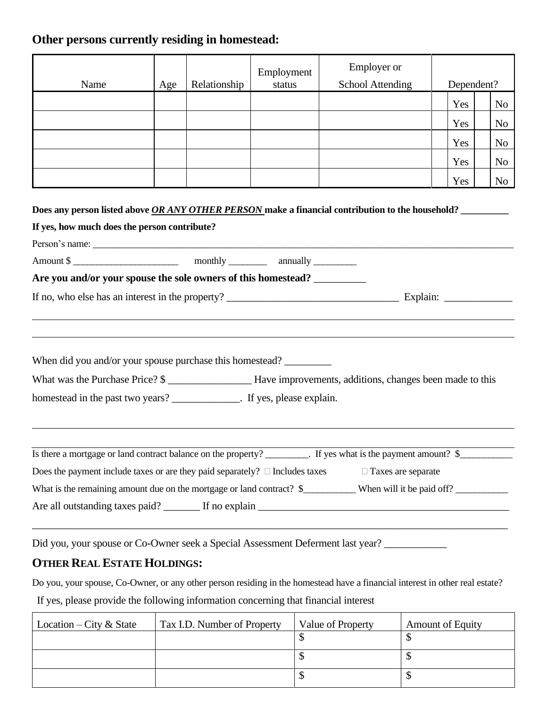### **Other persons currently residing in homestead:**

| Name                                                                              | Age | Relationship | Employment<br>status | <b>Employer</b> or<br><b>School Attending</b>                                                                           | Dependent? |                |
|-----------------------------------------------------------------------------------|-----|--------------|----------------------|-------------------------------------------------------------------------------------------------------------------------|------------|----------------|
|                                                                                   |     |              |                      |                                                                                                                         | Yes        | N <sub>0</sub> |
|                                                                                   |     |              |                      |                                                                                                                         | Yes        | N <sub>0</sub> |
|                                                                                   |     |              |                      |                                                                                                                         | Yes        | N <sub>0</sub> |
|                                                                                   |     |              |                      |                                                                                                                         | Yes        | N <sub>0</sub> |
|                                                                                   |     |              |                      |                                                                                                                         | Yes        | No             |
| Amount \$                                                                         |     |              |                      |                                                                                                                         |            |                |
|                                                                                   |     |              |                      |                                                                                                                         |            |                |
| Are you and/or your spouse the sole owners of this homestead? __________          |     |              |                      |                                                                                                                         |            |                |
|                                                                                   |     |              |                      |                                                                                                                         |            |                |
| When did you and/or your spouse purchase this homestead?                          |     |              |                      |                                                                                                                         |            |                |
|                                                                                   |     |              |                      | What was the Purchase Price? \$                                                                                         |            |                |
| homestead in the past two years? _______________. If yes, please explain.         |     |              |                      |                                                                                                                         |            |                |
|                                                                                   |     |              |                      | Is there a mortgage or land contract balance on the property? ________. If yes what is the payment amount? \$__________ |            |                |
| Does the payment include taxes or are they paid separately? $\Box$ Includes taxes |     |              |                      | $\Box$ Taxes are separate                                                                                               |            |                |
|                                                                                   |     |              |                      | What is the remaining amount due on the mortgage or land contract? \$___________ When will it be paid off? __________   |            |                |
|                                                                                   |     |              |                      |                                                                                                                         |            |                |
|                                                                                   |     |              |                      |                                                                                                                         |            |                |

Did you, your spouse or Co-Owner seek a Special Assessment Deferment last year? \_\_\_\_\_\_\_\_\_\_\_\_\_\_\_\_\_\_\_\_\_\_\_\_\_\_\_\_\_\_

## **OTHER REAL ESTATE HOLDINGS:**

Do you, your spouse, Co-Owner, or any other person residing in the homestead have a financial interest in other real estate? If yes, please provide the following information concerning that financial interest

| Location – City & State | Tax I.D. Number of Property | Value of Property | <b>Amount of Equity</b> |
|-------------------------|-----------------------------|-------------------|-------------------------|
|                         |                             |                   |                         |
|                         |                             |                   |                         |
|                         |                             |                   |                         |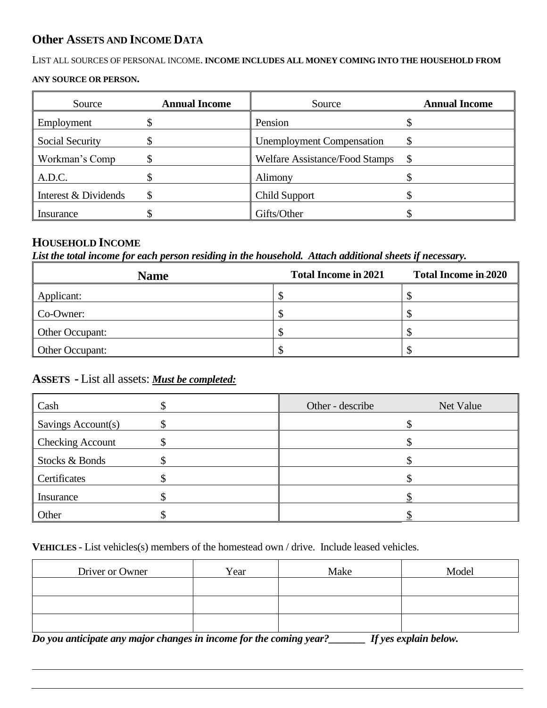#### **Other ASSETS AND INCOME DATA**

#### LIST ALL SOURCES OF PERSONAL INCOME. **INCOME INCLUDES ALL MONEY COMING INTO THE HOUSEHOLD FROM**

#### **ANY SOURCE OR PERSON.**

| Source                 | <b>Annual Income</b> | Source                           | <b>Annual Income</b> |
|------------------------|----------------------|----------------------------------|----------------------|
| Employment             |                      | Pension                          |                      |
| <b>Social Security</b> |                      | <b>Unemployment Compensation</b> | \$                   |
| Workman's Comp         |                      | Welfare Assistance/Food Stamps   | \$                   |
| A.D.C.                 |                      | Alimony                          |                      |
| Interest & Dividends   |                      | <b>Child Support</b>             |                      |
| Insurance              |                      | Gifts/Other                      |                      |

### **HOUSEHOLD INCOME**

*List the total income for each person residing in the household. Attach additional sheets if necessary.*

| <b>Name</b>     | <b>Total Income in 2021</b> | <b>Total Income in-2020</b> |
|-----------------|-----------------------------|-----------------------------|
| Applicant:      |                             |                             |
| Co-Owner:       |                             |                             |
| Other Occupant: |                             |                             |
| Other Occupant: |                             |                             |

#### **ASSETS -** List all assets: *Must be completed:*

| Cash                    | Other - describe | Net Value |
|-------------------------|------------------|-----------|
| Savings Account(s)      |                  |           |
| <b>Checking Account</b> |                  |           |
| Stocks & Bonds          |                  |           |
| Certificates            |                  |           |
| Insurance               |                  |           |
| Other                   |                  |           |

**VEHICLES -** List vehicles(s) members of the homestead own / drive. Include leased vehicles.

| Driver or Owner | Year | Make | Model |
|-----------------|------|------|-------|
|                 |      |      |       |
|                 |      |      |       |
|                 |      |      |       |

*Do you anticipate any major changes in income for the coming year?\_\_\_\_\_\_\_ If yes explain below.*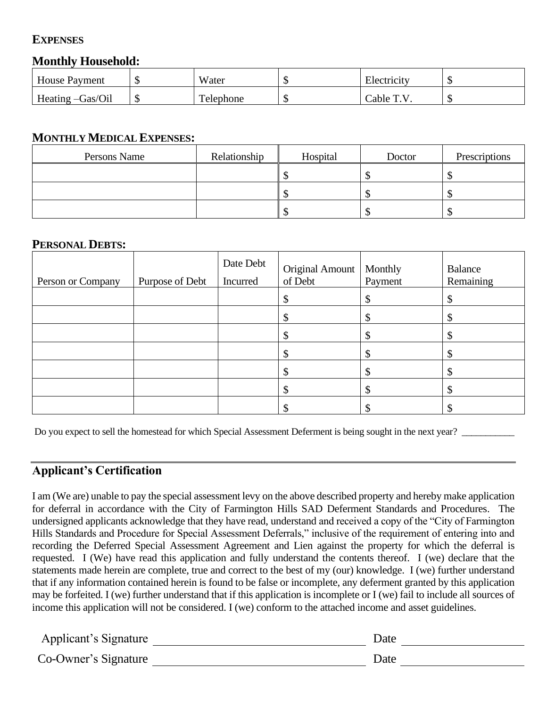### **EXPENSES**

#### **Monthly Household:**

| <b>House Payment</b> | Water     | ۲IJ | Electricity |  |
|----------------------|-----------|-----|-------------|--|
| Heating -Gas/Oil     | Telephone | ۲IJ | Cable T.V   |  |

#### **MONTHLY MEDICAL EXPENSES:**

| Persons Name | Relationship | Hospital | Doctor | Prescriptions |
|--------------|--------------|----------|--------|---------------|
|              |              |          |        |               |
|              |              |          |        |               |
|              |              |          |        |               |

#### **PERSONAL DEBTS:**

| Person or Company | Purpose of Debt | Date Debt<br>Incurred | Original Amount<br>of Debt | Monthly<br>Payment | Balance<br>Remaining |
|-------------------|-----------------|-----------------------|----------------------------|--------------------|----------------------|
|                   |                 |                       | \$                         |                    |                      |
|                   |                 |                       | \$                         |                    |                      |
|                   |                 |                       | Φ                          |                    |                      |
|                   |                 |                       | \$                         |                    |                      |
|                   |                 |                       | \$                         |                    |                      |
|                   |                 |                       | \$                         |                    |                      |
|                   |                 |                       | ъĐ                         |                    |                      |

Do you expect to sell the homestead for which Special Assessment Deferment is being sought in the next year?

#### **Applicant's Certification**

I am (We are) unable to pay the special assessment levy on the above described property and hereby make application for deferral in accordance with the City of Farmington Hills SAD Deferment Standards and Procedures. The undersigned applicants acknowledge that they have read, understand and received a copy of the "City of Farmington Hills Standards and Procedure for Special Assessment Deferrals," inclusive of the requirement of entering into and recording the Deferred Special Assessment Agreement and Lien against the property for which the deferral is requested. I (We) have read this application and fully understand the contents thereof. I (we) declare that the statements made herein are complete, true and correct to the best of my (our) knowledge. I (we) further understand that if any information contained herein is found to be false or incomplete, any deferment granted by this application may be forfeited. I (we) further understand that if this application is incomplete or I (we) fail to include all sources of income this application will not be considered. I (we) conform to the attached income and asset guidelines.

| Applicant's Signature | Date |
|-----------------------|------|
| Co-Owner's Signature  | Date |